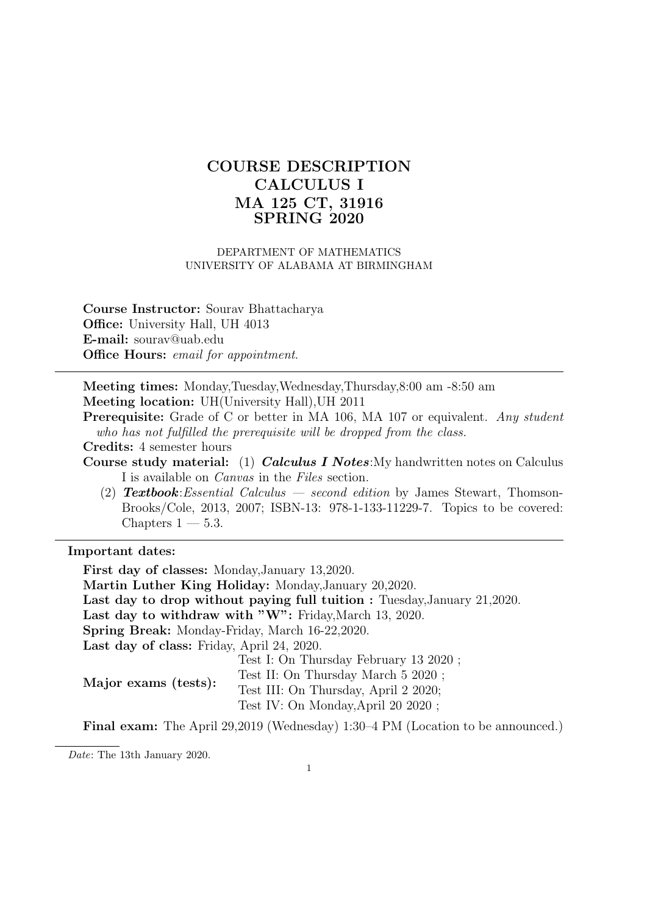# COURSE DESCRIPTION CALCULUS I MA 125 CT, 31916 SPRING 2020

#### DEPARTMENT OF MATHEMATICS UNIVERSITY OF ALABAMA AT BIRMINGHAM

Course Instructor: Sourav Bhattacharya Office: University Hall, UH 4013 E-mail: sourav@uab.edu Office Hours: email for appointment.

Meeting times: Monday,Tuesday,Wednesday,Thursday,8:00 am -8:50 am Meeting location: UH(University Hall),UH 2011

Prerequisite: Grade of C or better in MA 106, MA 107 or equivalent. Any student who has not fulfilled the prerequisite will be dropped from the class.

Credits: 4 semester hours

- Course study material: (1) *Calculus I Notes*: My handwritten notes on Calculus I is available on Canvas in the Files section.
	- (2) **Textbook**: Essential Calculus second edition by James Stewart, Thomson-Brooks/Cole, 2013, 2007; ISBN-13: 978-1-133-11229-7. Topics to be covered: Chapters  $1 - 5.3$ .

#### Important dates:

First day of classes: Monday,January 13,2020. Martin Luther King Holiday: Monday,January 20,2020. Last day to drop without paying full tuition : Tuesday,January 21,2020. Last day to withdraw with "W": Friday, March 13, 2020. Spring Break: Monday-Friday, March 16-22,2020. Last day of class: Friday, April 24, 2020. Major exams (tests): Test I: On Thursday February 13 2020 ; Test II: On Thursday March 5 2020 ; Test III: On Thursday, April 2 2020; Test IV: On Monday,April 20 2020 ;

Final exam: The April 29,2019 (Wednesday) 1:30–4 PM (Location to be announced.)

Date: The 13th January 2020.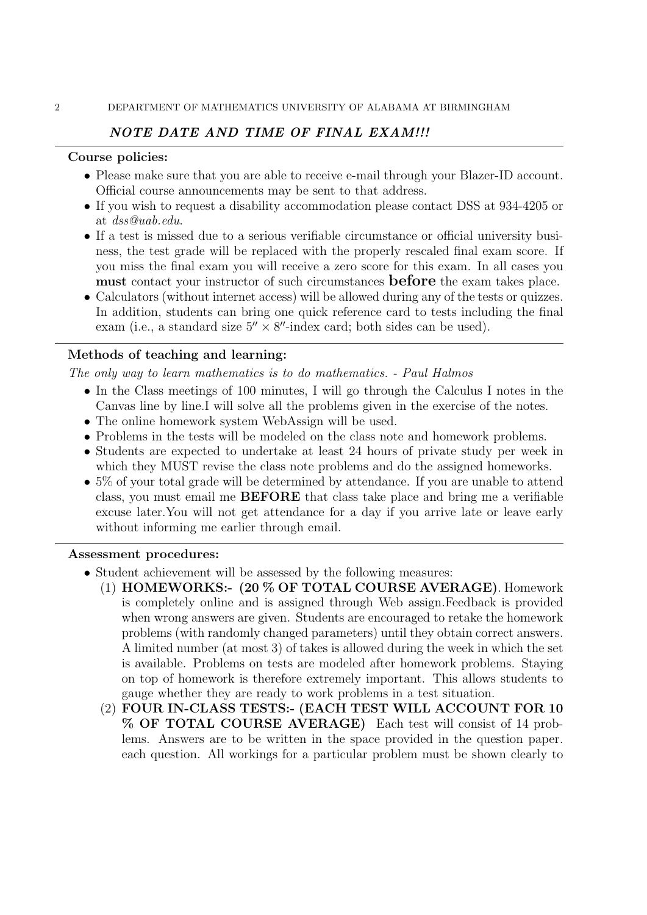# NOTE DATE AND TIME OF FINAL EXAM!!!

#### Course policies:

- Please make sure that you are able to receive e-mail through your Blazer-ID account. Official course announcements may be sent to that address.
- If you wish to request a disability accommodation please contact DSS at 934-4205 or at dss@uab.edu.
- If a test is missed due to a serious verifiable circumstance or official university business, the test grade will be replaced with the properly rescaled final exam score. If you miss the final exam you will receive a zero score for this exam. In all cases you must contact your instructor of such circumstances before the exam takes place.
- Calculators (without internet access) will be allowed during any of the tests or quizzes. In addition, students can bring one quick reference card to tests including the final exam (i.e., a standard size  $5'' \times 8''$ -index card; both sides can be used).

## Methods of teaching and learning:

The only way to learn mathematics is to do mathematics. - Paul Halmos

- In the Class meetings of 100 minutes, I will go through the Calculus I notes in the Canvas line by line.I will solve all the problems given in the exercise of the notes.
- The online homework system WebAssign will be used.
- Problems in the tests will be modeled on the class note and homework problems.
- Students are expected to undertake at least 24 hours of private study per week in which they MUST revise the class note problems and do the assigned homeworks.
- 5% of your total grade will be determined by attendance. If you are unable to attend class, you must email me BEFORE that class take place and bring me a verifiable excuse later.You will not get attendance for a day if you arrive late or leave early without informing me earlier through email.

#### Assessment procedures:

- Student achievement will be assessed by the following measures:
	- (1) HOMEWORKS:- (20 % OF TOTAL COURSE AVERAGE). Homework is completely online and is assigned through Web assign.Feedback is provided when wrong answers are given. Students are encouraged to retake the homework problems (with randomly changed parameters) until they obtain correct answers. A limited number (at most 3) of takes is allowed during the week in which the set is available. Problems on tests are modeled after homework problems. Staying on top of homework is therefore extremely important. This allows students to gauge whether they are ready to work problems in a test situation.
	- (2) FOUR IN-CLASS TESTS:- (EACH TEST WILL ACCOUNT FOR 10 % OF TOTAL COURSE AVERAGE) Each test will consist of 14 problems. Answers are to be written in the space provided in the question paper. each question. All workings for a particular problem must be shown clearly to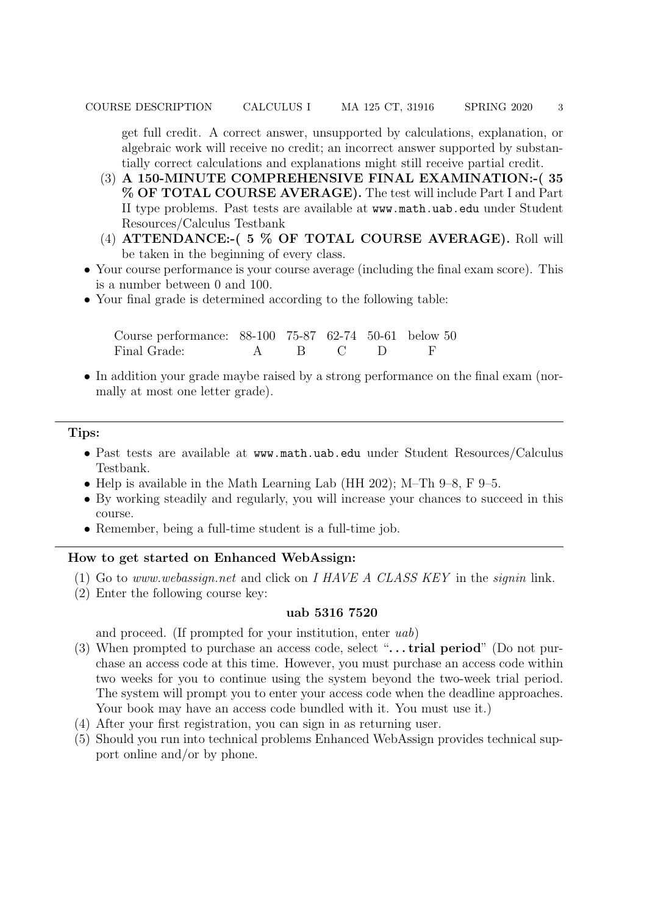get full credit. A correct answer, unsupported by calculations, explanation, or algebraic work will receive no credit; an incorrect answer supported by substantially correct calculations and explanations might still receive partial credit.

- (3) A 150-MINUTE COMPREHENSIVE FINAL EXAMINATION:-( 35 % OF TOTAL COURSE AVERAGE). The test will include Part I and Part II type problems. Past tests are available at www.math.uab.edu under Student Resources/Calculus Testbank
- (4) ATTENDANCE:-( 5 % OF TOTAL COURSE AVERAGE). Roll will be taken in the beginning of every class.
- Your course performance is your course average (including the final exam score). This is a number between 0 and 100.
- Your final grade is determined according to the following table:

| Course performance: 88-100 75-87 62-74 50-61 below 50 |  |           |  |
|-------------------------------------------------------|--|-----------|--|
| Final Grade:                                          |  | A B C D F |  |

• In addition your grade maybe raised by a strong performance on the final exam (normally at most one letter grade).

### Tips:

- Past tests are available at www.math.uab.edu under Student Resources/Calculus Testbank.
- Help is available in the Math Learning Lab (HH 202); M–Th 9–8, F 9–5.
- By working steadily and regularly, you will increase your chances to succeed in this course.
- Remember, being a full-time student is a full-time job.

# How to get started on Enhanced WebAssign:

- (1) Go to *www.webassign.net* and click on  $I$  HAVE A CLASS KEY in the *signin* link.
- (2) Enter the following course key:

#### uab 5316 7520

and proceed. (If prompted for your institution, enter uab)

- (3) When prompted to purchase an access code, select " $\dots$  trial period" (Do not purchase an access code at this time. However, you must purchase an access code within two weeks for you to continue using the system beyond the two-week trial period. The system will prompt you to enter your access code when the deadline approaches. Your book may have an access code bundled with it. You must use it.)
- (4) After your first registration, you can sign in as returning user.
- (5) Should you run into technical problems Enhanced WebAssign provides technical support online and/or by phone.